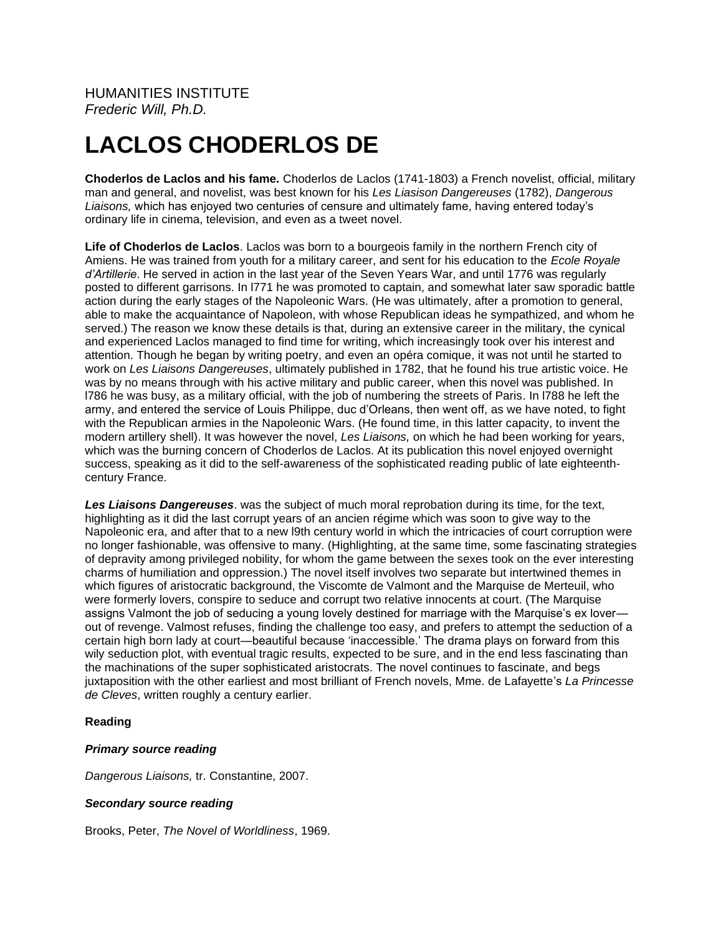# **LACLOS CHODERLOS DE**

**Choderlos de Laclos and his fame.** Choderlos de Laclos (1741-1803) a French novelist, official, military man and general, and novelist, was best known for his *Les Liasison Dangereuses* (1782), *Dangerous Liaisons,* which has enjoyed two centuries of censure and ultimately fame, having entered today's ordinary life in cinema, television, and even as a tweet novel.

**Life of Choderlos de Laclos**. Laclos was born to a bourgeois family in the northern French city of Amiens. He was trained from youth for a military career, and sent for his education to the *Ecole Royale d'Artillerie*. He served in action in the last year of the Seven Years War, and until 1776 was regularly posted to different garrisons. In l771 he was promoted to captain, and somewhat later saw sporadic battle action during the early stages of the Napoleonic Wars. (He was ultimately, after a promotion to general, able to make the acquaintance of Napoleon, with whose Republican ideas he sympathized, and whom he served.) The reason we know these details is that, during an extensive career in the military, the cynical and experienced Laclos managed to find time for writing, which increasingly took over his interest and attention. Though he began by writing poetry, and even an opéra comique, it was not until he started to work on *Les Liaisons Dangereuses*, ultimately published in 1782, that he found his true artistic voice. He was by no means through with his active military and public career, when this novel was published. In l786 he was busy, as a military official, with the job of numbering the streets of Paris. In l788 he left the army, and entered the service of Louis Philippe, duc d'Orleans, then went off, as we have noted, to fight with the Republican armies in the Napoleonic Wars. (He found time, in this latter capacity, to invent the modern artillery shell). It was however the novel, *Les Liaisons,* on which he had been working for years, which was the burning concern of Choderlos de Laclos. At its publication this novel enjoyed overnight success, speaking as it did to the self-awareness of the sophisticated reading public of late eighteenthcentury France.

*Les Liaisons Dangereuses*. was the subject of much moral reprobation during its time, for the text, highlighting as it did the last corrupt years of an ancien régime which was soon to give way to the Napoleonic era, and after that to a new l9th century world in which the intricacies of court corruption were no longer fashionable, was offensive to many. (Highlighting, at the same time, some fascinating strategies of depravity among privileged nobility, for whom the game between the sexes took on the ever interesting charms of humiliation and oppression.) The novel itself involves two separate but intertwined themes in which figures of aristocratic background, the Viscomte de Valmont and the Marquise de Merteuil, who were formerly lovers, conspire to seduce and corrupt two relative innocents at court. (The Marquise assigns Valmont the job of seducing a young lovely destined for marriage with the Marquise's ex lover out of revenge. Valmost refuses, finding the challenge too easy, and prefers to attempt the seduction of a certain high born lady at court—beautiful because 'inaccessible.' The drama plays on forward from this wily seduction plot, with eventual tragic results, expected to be sure, and in the end less fascinating than the machinations of the super sophisticated aristocrats. The novel continues to fascinate, and begs juxtaposition with the other earliest and most brilliant of French novels, Mme. de Lafayette's *La Princesse de Cleves*, written roughly a century earlier.

## **Reading**

## *Primary source reading*

*Dangerous Liaisons,* tr. Constantine, 2007.

#### *Secondary source reading*

Brooks, Peter, *The Novel of Worldliness*, 1969.